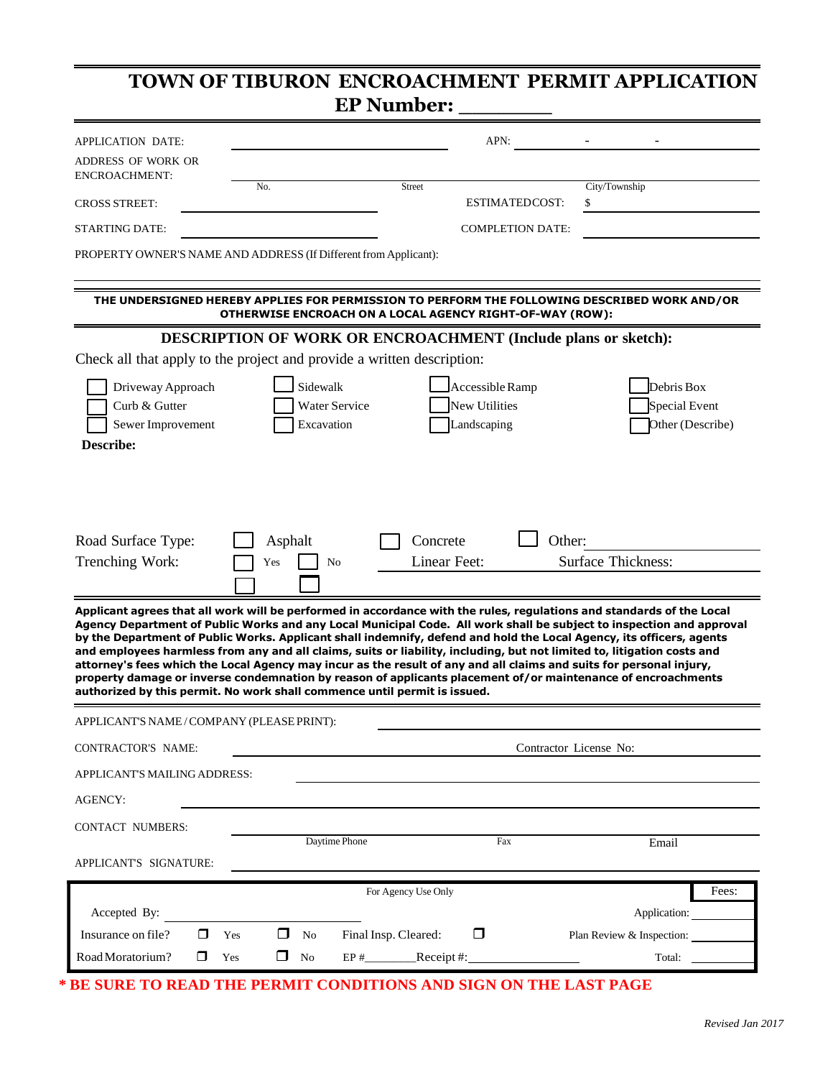## Driveway Approach **Sidewalk** Sidewalk Accessible Ramp Debris Box  $\overline{\phantom{0}}$  $\mathbb{R}^2$ New Utilities **TOWN OF TIBURON ENCROACHMENT PERMIT APPLICATION EP Number:** APPLICATION DATE: ADDRESS OF WORK OR  $APN:$   $-$ ENCROACHMENT: No. Street City/Township CROSS STREET: STARTING DATE: ESTIMATEDCOST: \$ COMPLETION DATE: PROPERTY OWNER'S NAME AND ADDRESS (If Different from Applicant): **THE UNDERSIGNED HEREBY APPLIES FOR PERMISSION TO PERFORM THE FOLLOWING DESCRIBED WORK AND/OR OTHERWISE ENCROACH ON A LOCAL AGENCY RIGHT-OF-WAY (ROW): DESCRIPTION OF WORK OR ENCROACHMENT (Include plans or sketch):** Check all that apply to the project and provide a written description:

Applicant agrees that all work will be performed in accordance with the rules, regulations and standards of the Local Agency Department of Public Works and any Local Municipal Code. All work shall be subject to inspection and approval by the Department of Public Works. Applicant shall indemnify, defend and hold the Local Agency, its officers, agents and employees harmless from any and all claims, suits or liability, including, but not limited to, litigation costs and attorney's fees which the Local Agency may incur as the result of any and all claims and suits for personal injury, **property damage or inverse condemnation by reason of applicants placement of/or maintenance of encroachments authorized by this permit. No work shall commence until permit is issued.** APPLICANT'S NAME /COMPANY (PLEASEPRINT): CONTRACTOR'S NAME: Contractor License No:

Curb & Gutter **Numerice** Water Service New Utilities Special Event

Sewer Improvement Excavation Excavation Landscaping Other (Describe)

Concrete

Landscaping

Ξ

 $\mathbb{R}^2$ 

Yes

 $\overline{\phantom{a}}$ 

Road Surface Type: Asphalt Concrete Defined:

Trenching Work: These No Linear Feet: Surface Thickness:

i.

**Describe:**

APPLICANT'S MAILINGADDRESS: AGENCY: CONTACT NUMBERS: APPLICANT'S SIGNATURE: Daytime Phone Fax Email For Agency Use Only Fees: Accepted By: Application: Application: Application: Application: Application: Application: Application: Application: Application: Application: Application: Application: Application: Application: Application: Application: A Insurance on file?  $\Box$  Yes  $\Box$  No Final Insp. Cleared:  $\Box$  Plan Review & Inspection:  $RoadMoratorium?$   $\Box$   $Yes$   $\Box$   $No$   $EP#$   $Receipt #:$   $Total:$  Total:

**\* BE SURE TO READ THE PERMIT CONDITIONS AND SIGN ON THE LAST PAGE**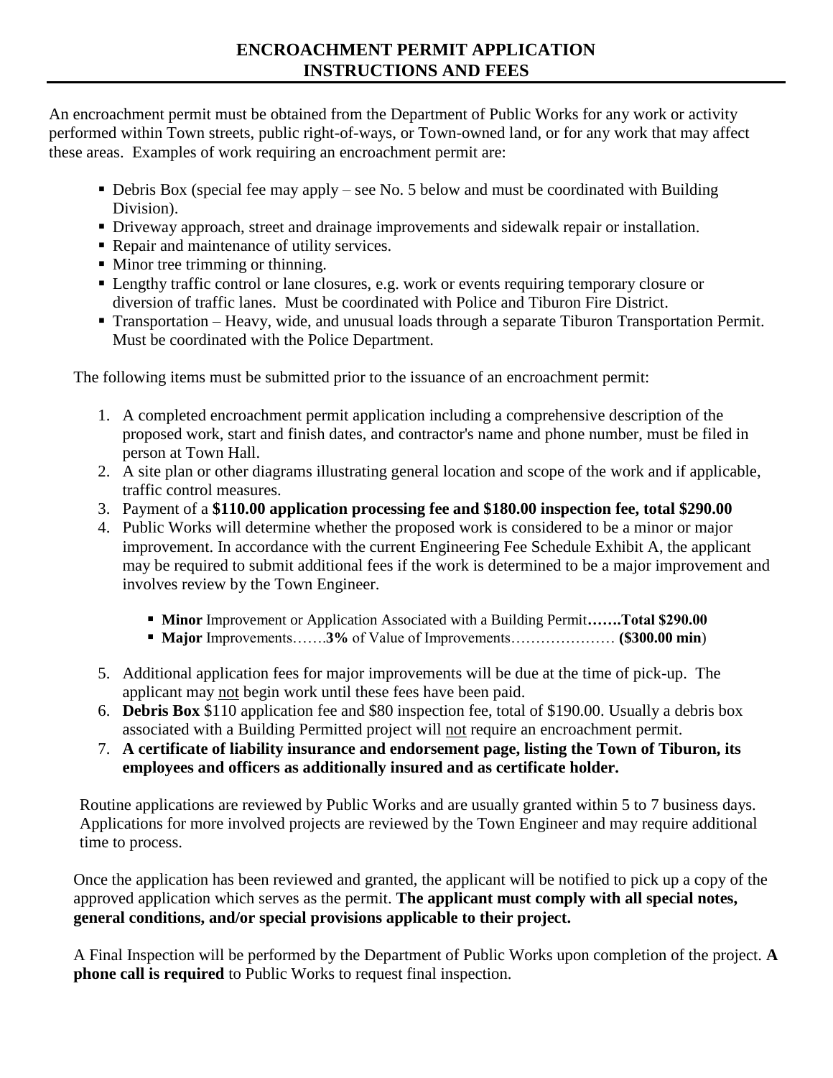An encroachment permit must be obtained from the Department of Public Works for any work or activity performed within Town streets, public right-of-ways, or Town-owned land, or for any work that may affect these areas. Examples of work requiring an encroachment permit are:

- Debris Box (special fee may apply see No. 5 below and must be coordinated with Building Division).
- Driveway approach, street and drainage improvements and sidewalk repair or installation.
- Repair and maintenance of utility services.
- Minor tree trimming or thinning.
- Lengthy traffic control or lane closures, e.g. work or events requiring temporary closure or diversion of traffic lanes. Must be coordinated with Police and Tiburon Fire District.
- Transportation Heavy, wide, and unusual loads through a separate Tiburon Transportation Permit. Must be coordinated with the Police Department.

The following items must be submitted prior to the issuance of an encroachment permit:

- 1. A completed encroachment permit application including a comprehensive description of the proposed work, start and finish dates, and contractor's name and phone number, must be filed in person at Town Hall.
- 2. A site plan or other diagrams illustrating general location and scope of the work and if applicable, traffic control measures.
- 3. Payment of a **\$110.00 application processing fee and \$180.00 inspection fee, total \$290.00**
- 4. Public Works will determine whether the proposed work is considered to be a minor or major improvement. In accordance with the current Engineering Fee Schedule Exhibit A, the applicant may be required to submit additional fees if the work is determined to be a major improvement and involves review by the Town Engineer.
	- **Minor** Improvement or Application Associated with a Building Permit.......Total \$290.00
	- **Major** Improvements…….**3%** of Value of Improvements………………… **(\$300.00 min**)
- 5. Additional application fees for major improvements will be due at the time of pick-up. The applicant may not begin work until these fees have been paid.
- 6. **Debris Box** \$110 application fee and \$80 inspection fee, total of \$190.00. Usually a debris box associated with a Building Permitted project will not require an encroachment permit.
- 7. **A certificate of liability insurance and endorsement page, listing the Town of Tiburon, its employees and officers as additionally insured and as certificate holder.**

Routine applications are reviewed by Public Works and are usually granted within 5 to 7 business days. Applications for more involved projects are reviewed by the Town Engineer and may require additional time to process.

Once the application has been reviewed and granted, the applicant will be notified to pick up a copy of the approved application which serves as the permit. **The applicant must comply with all special notes, general conditions, and/or special provisions applicable to their project.** 

A Final Inspection will be performed by the Department of Public Works upon completion of the project. **A phone call is required** to Public Works to request final inspection.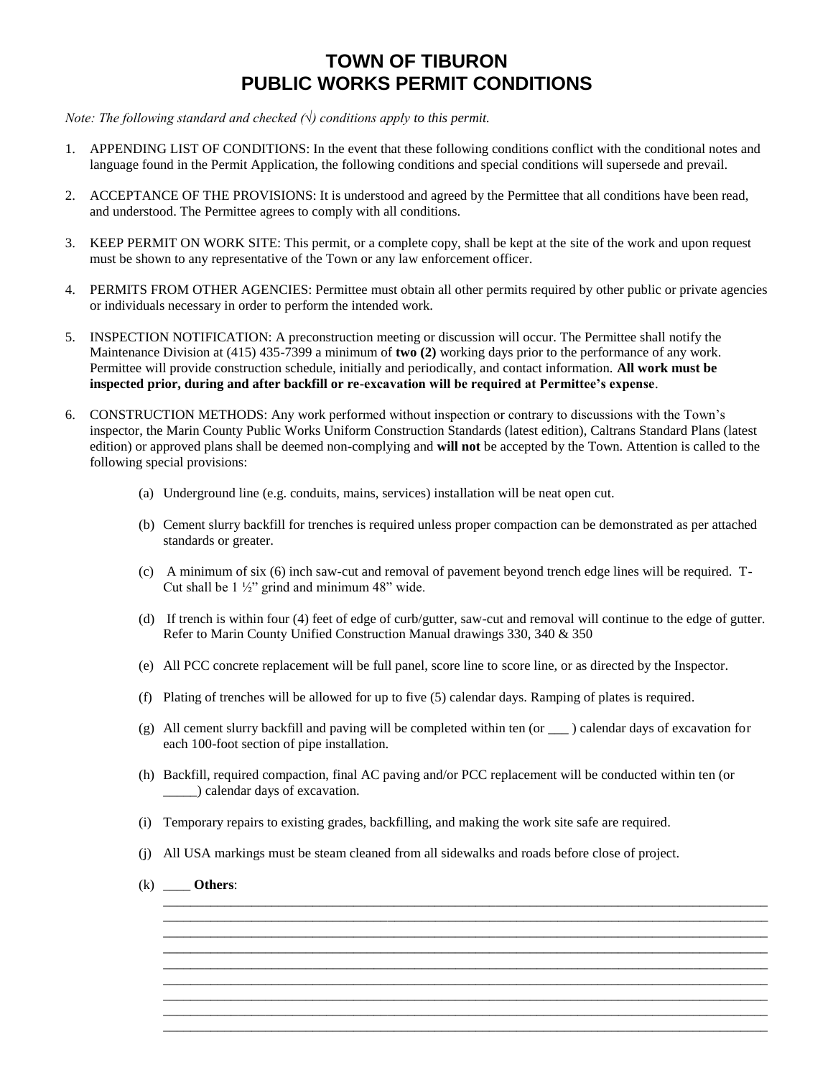## **TOWN OF TIBURON PUBLIC WORKS PERMIT CONDITIONS**

*Note: The following standard and checked (√) conditions apply to this permit.*

- 1. APPENDING LIST OF CONDITIONS: In the event that these following conditions conflict with the conditional notes and language found in the Permit Application, the following conditions and special conditions will supersede and prevail.
- 2. ACCEPTANCE OF THE PROVISIONS: It is understood and agreed by the Permittee that all conditions have been read, and understood. The Permittee agrees to comply with all conditions.
- 3. KEEP PERMIT ON WORK SITE: This permit, or a complete copy, shall be kept at the site of the work and upon request must be shown to any representative of the Town or any law enforcement officer.
- 4. PERMITS FROM OTHER AGENCIES: Permittee must obtain all other permits required by other public or private agencies or individuals necessary in order to perform the intended work.
- 5. INSPECTION NOTIFICATION: A preconstruction meeting or discussion will occur. The Permittee shall notify the Maintenance Division at (415) 435-7399 a minimum of **two (2)** working days prior to the performance of any work. Permittee will provide construction schedule, initially and periodically, and contact information. **All work must be inspected prior, during and after backfill or re-excavation will be required at Permittee's expense**.
- 6. CONSTRUCTION METHODS: Any work performed without inspection or contrary to discussions with the Town's inspector, the Marin County Public Works Uniform Construction Standards (latest edition), Caltrans Standard Plans (latest edition) or approved plans shall be deemed non-complying and **will not** be accepted by the Town. Attention is called to the following special provisions:
	- (a) Underground line (e.g. conduits, mains, services) installation will be neat open cut.
	- (b) Cement slurry backfill for trenches is required unless proper compaction can be demonstrated as per attached standards or greater.
	- (c) A minimum of six (6) inch saw-cut and removal of pavement beyond trench edge lines will be required. T-Cut shall be  $1\frac{1}{2}$ " grind and minimum 48" wide.
	- (d) If trench is within four (4) feet of edge of curb/gutter, saw-cut and removal will continue to the edge of gutter. Refer to Marin County Unified Construction Manual drawings 330, 340 & 350
	- (e) All PCC concrete replacement will be full panel, score line to score line, or as directed by the Inspector.
	- (f) Plating of trenches will be allowed for up to five (5) calendar days. Ramping of plates is required.
	- (g) All cement slurry backfill and paving will be completed within ten (or \_\_\_ ) calendar days of excavation for each 100-foot section of pipe installation.
	- (h) Backfill, required compaction, final AC paving and/or PCC replacement will be conducted within ten (or \_\_\_\_\_) calendar days of excavation.

\_\_\_\_\_\_\_\_\_\_\_\_\_\_\_\_\_\_\_\_\_\_\_\_\_\_\_\_\_\_\_\_\_\_\_\_\_\_\_\_\_\_\_\_\_\_\_\_\_\_\_\_\_\_\_\_\_\_\_\_\_\_\_\_\_\_\_\_\_\_\_\_\_\_\_\_\_\_\_\_\_\_\_\_\_\_\_\_\_ \_\_\_\_\_\_\_\_\_\_\_\_\_\_\_\_\_\_\_\_\_\_\_\_\_\_\_\_\_\_\_\_\_\_\_\_\_\_\_\_\_\_\_\_\_\_\_\_\_\_\_\_\_\_\_\_\_\_\_\_\_\_\_\_\_\_\_\_\_\_\_\_\_\_\_\_\_\_\_\_\_\_\_\_\_\_\_\_\_ \_\_\_\_\_\_\_\_\_\_\_\_\_\_\_\_\_\_\_\_\_\_\_\_\_\_\_\_\_\_\_\_\_\_\_\_\_\_\_\_\_\_\_\_\_\_\_\_\_\_\_\_\_\_\_\_\_\_\_\_\_\_\_\_\_\_\_\_\_\_\_\_\_\_\_\_\_\_\_\_\_\_\_\_\_\_\_\_\_ \_\_\_\_\_\_\_\_\_\_\_\_\_\_\_\_\_\_\_\_\_\_\_\_\_\_\_\_\_\_\_\_\_\_\_\_\_\_\_\_\_\_\_\_\_\_\_\_\_\_\_\_\_\_\_\_\_\_\_\_\_\_\_\_\_\_\_\_\_\_\_\_\_\_\_\_\_\_\_\_\_\_\_\_\_\_\_\_\_ \_\_\_\_\_\_\_\_\_\_\_\_\_\_\_\_\_\_\_\_\_\_\_\_\_\_\_\_\_\_\_\_\_\_\_\_\_\_\_\_\_\_\_\_\_\_\_\_\_\_\_\_\_\_\_\_\_\_\_\_\_\_\_\_\_\_\_\_\_\_\_\_\_\_\_\_\_\_\_\_\_\_\_\_\_\_\_\_\_ \_\_\_\_\_\_\_\_\_\_\_\_\_\_\_\_\_\_\_\_\_\_\_\_\_\_\_\_\_\_\_\_\_\_\_\_\_\_\_\_\_\_\_\_\_\_\_\_\_\_\_\_\_\_\_\_\_\_\_\_\_\_\_\_\_\_\_\_\_\_\_\_\_\_\_\_\_\_\_\_\_\_\_\_\_\_\_\_\_ \_\_\_\_\_\_\_\_\_\_\_\_\_\_\_\_\_\_\_\_\_\_\_\_\_\_\_\_\_\_\_\_\_\_\_\_\_\_\_\_\_\_\_\_\_\_\_\_\_\_\_\_\_\_\_\_\_\_\_\_\_\_\_\_\_\_\_\_\_\_\_\_\_\_\_\_\_\_\_\_\_\_\_\_\_\_\_\_\_ \_\_\_\_\_\_\_\_\_\_\_\_\_\_\_\_\_\_\_\_\_\_\_\_\_\_\_\_\_\_\_\_\_\_\_\_\_\_\_\_\_\_\_\_\_\_\_\_\_\_\_\_\_\_\_\_\_\_\_\_\_\_\_\_\_\_\_\_\_\_\_\_\_\_\_\_\_\_\_\_\_\_\_\_\_\_\_\_\_ \_\_\_\_\_\_\_\_\_\_\_\_\_\_\_\_\_\_\_\_\_\_\_\_\_\_\_\_\_\_\_\_\_\_\_\_\_\_\_\_\_\_\_\_\_\_\_\_\_\_\_\_\_\_\_\_\_\_\_\_\_\_\_\_\_\_\_\_\_\_\_\_\_\_\_\_\_\_\_\_\_\_\_\_\_\_\_\_\_

- (i) Temporary repairs to existing grades, backfilling, and making the work site safe are required.
- (j) All USA markings must be steam cleaned from all sidewalks and roads before close of project.
- (k) \_\_\_\_ **Others**: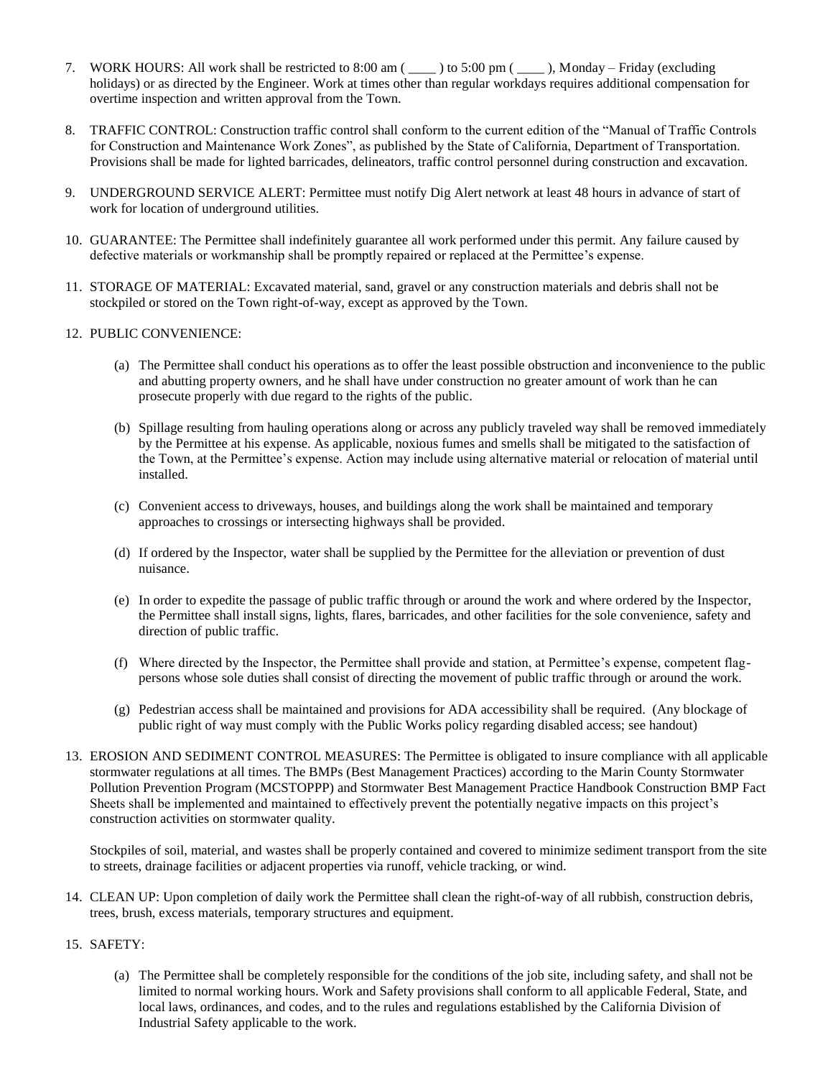- 7. WORK HOURS: All work shall be restricted to 8:00 am ( \_\_\_\_ ) to 5:00 pm ( \_\_\_\_ ), Monday Friday (excluding holidays) or as directed by the Engineer. Work at times other than regular workdays requires additional compensation for overtime inspection and written approval from the Town.
- 8. TRAFFIC CONTROL: Construction traffic control shall conform to the current edition of the "Manual of Traffic Controls for Construction and Maintenance Work Zones", as published by the State of California, Department of Transportation. Provisions shall be made for lighted barricades, delineators, traffic control personnel during construction and excavation.
- 9. UNDERGROUND SERVICE ALERT: Permittee must notify Dig Alert network at least 48 hours in advance of start of work for location of underground utilities.
- 10. GUARANTEE: The Permittee shall indefinitely guarantee all work performed under this permit. Any failure caused by defective materials or workmanship shall be promptly repaired or replaced at the Permittee's expense.
- 11. STORAGE OF MATERIAL: Excavated material, sand, gravel or any construction materials and debris shall not be stockpiled or stored on the Town right-of-way, except as approved by the Town.
- 12. PUBLIC CONVENIENCE:
	- (a) The Permittee shall conduct his operations as to offer the least possible obstruction and inconvenience to the public and abutting property owners, and he shall have under construction no greater amount of work than he can prosecute properly with due regard to the rights of the public.
	- (b) Spillage resulting from hauling operations along or across any publicly traveled way shall be removed immediately by the Permittee at his expense. As applicable, noxious fumes and smells shall be mitigated to the satisfaction of the Town, at the Permittee's expense. Action may include using alternative material or relocation of material until installed.
	- (c) Convenient access to driveways, houses, and buildings along the work shall be maintained and temporary approaches to crossings or intersecting highways shall be provided.
	- (d) If ordered by the Inspector, water shall be supplied by the Permittee for the alleviation or prevention of dust nuisance.
	- (e) In order to expedite the passage of public traffic through or around the work and where ordered by the Inspector, the Permittee shall install signs, lights, flares, barricades, and other facilities for the sole convenience, safety and direction of public traffic.
	- (f) Where directed by the Inspector, the Permittee shall provide and station, at Permittee's expense, competent flagpersons whose sole duties shall consist of directing the movement of public traffic through or around the work.
	- (g) Pedestrian access shall be maintained and provisions for ADA accessibility shall be required. (Any blockage of public right of way must comply with the Public Works policy regarding disabled access; see handout)
- 13. EROSION AND SEDIMENT CONTROL MEASURES: The Permittee is obligated to insure compliance with all applicable stormwater regulations at all times. The BMPs (Best Management Practices) according to the Marin County Stormwater Pollution Prevention Program (MCSTOPPP) and Stormwater Best Management Practice Handbook Construction BMP Fact Sheets shall be implemented and maintained to effectively prevent the potentially negative impacts on this project's construction activities on stormwater quality.

Stockpiles of soil, material, and wastes shall be properly contained and covered to minimize sediment transport from the site to streets, drainage facilities or adjacent properties via runoff, vehicle tracking, or wind.

- 14. CLEAN UP: Upon completion of daily work the Permittee shall clean the right-of-way of all rubbish, construction debris, trees, brush, excess materials, temporary structures and equipment.
- 15. SAFETY:
	- (a) The Permittee shall be completely responsible for the conditions of the job site, including safety, and shall not be limited to normal working hours. Work and Safety provisions shall conform to all applicable Federal, State, and local laws, ordinances, and codes, and to the rules and regulations established by the California Division of Industrial Safety applicable to the work.